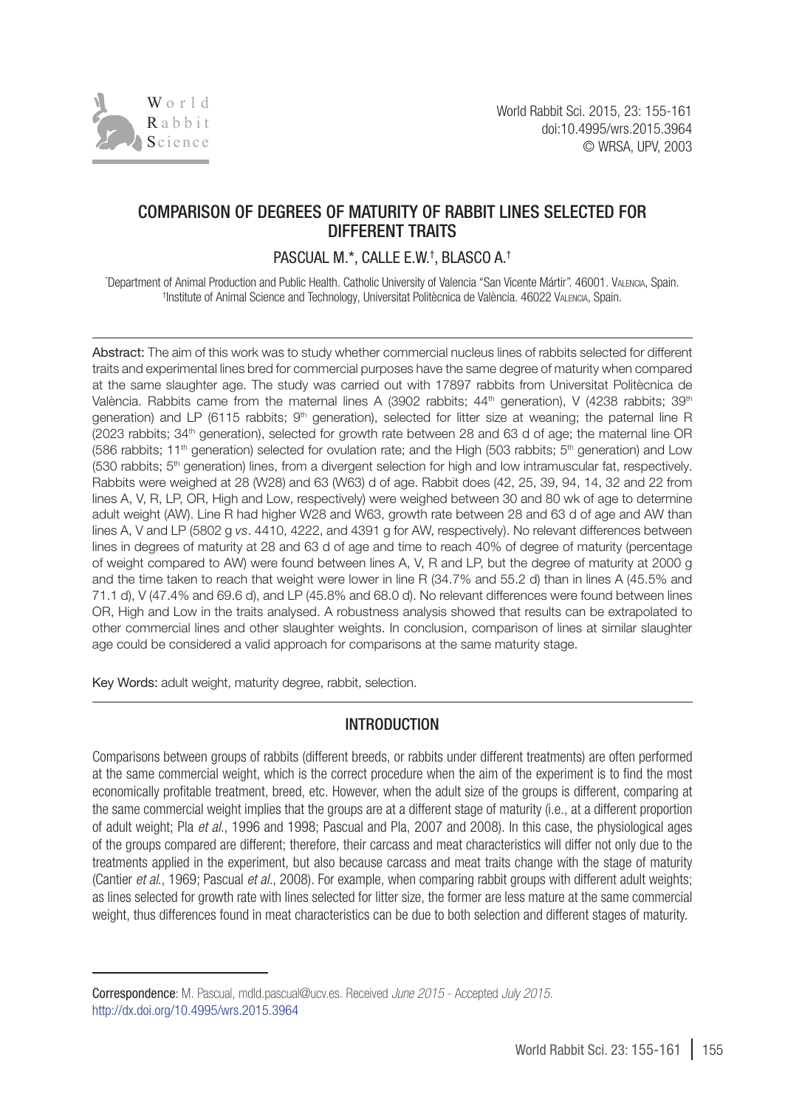

# Comparison of degrees of maturity of rabbit lines selected for different traits

# Pascual M.\*, Calle E.W.† , Blasco A. †

\* Department of Animal Production and Public Health. Catholic University of Valencia "San Vicente Mártir". 46001. Valencia, Spain. † Institute of Animal Science and Technology, Universitat Politècnica de València. 46022 Valencia, Spain.

Abstract: The aim of this work was to study whether commercial nucleus lines of rabbits selected for different traits and experimental lines bred for commercial purposes have the same degree of maturity when compared at the same slaughter age. The study was carried out with 17897 rabbits from Universitat Politècnica de València. Rabbits came from the maternal lines A (3902 rabbits;  $44<sup>th</sup>$  generation), V (4238 rabbits; 39<sup>th</sup> generation) and LP (6115 rabbits; 9<sup>th</sup> generation), selected for litter size at weaning; the paternal line R (2023 rabbits; 34th generation), selected for growth rate between 28 and 63 d of age; the maternal line OR (586 rabbits; 11<sup>th</sup> generation) selected for ovulation rate; and the High (503 rabbits; 5<sup>th</sup> generation) and Low (530 rabbits; 5<sup>th</sup> generation) lines, from a divergent selection for high and low intramuscular fat, respectively. Rabbits were weighed at 28 (W28) and 63 (W63) d of age. Rabbit does (42, 25, 39, 94, 14, 32 and 22 from lines A, V, R, LP, OR, High and Low, respectively) were weighed between 30 and 80 wk of age to determine adult weight (AW). Line R had higher W28 and W63, growth rate between 28 and 63 d of age and AW than lines A, V and LP (5802 g *vs*. 4410, 4222, and 4391 g for AW, respectively). No relevant differences between lines in degrees of maturity at 28 and 63 d of age and time to reach 40% of degree of maturity (percentage of weight compared to AW) were found between lines A, V, R and LP, but the degree of maturity at 2000 g and the time taken to reach that weight were lower in line R (34.7% and 55.2 d) than in lines A (45.5% and 71.1 d), V (47.4% and 69.6 d), and LP (45.8% and 68.0 d). No relevant differences were found between lines OR, High and Low in the traits analysed. A robustness analysis showed that results can be extrapolated to other commercial lines and other slaughter weights. In conclusion, comparison of lines at similar slaughter age could be considered a valid approach for comparisons at the same maturity stage.

Key Words: adult weight, maturity degree, rabbit, selection.

## INTRODUCTION

Comparisons between groups of rabbits (different breeds, or rabbits under different treatments) are often performed at the same commercial weight, which is the correct procedure when the aim of the experiment is to find the most economically profitable treatment, breed, etc. However, when the adult size of the groups is different, comparing at the same commercial weight implies that the groups are at a different stage of maturity (i.e., at a different proportion of adult weight; Pla *et al.*, 1996 and 1998; Pascual and Pla, 2007 and 2008). In this case, the physiological ages of the groups compared are different; therefore, their carcass and meat characteristics will differ not only due to the treatments applied in the experiment, but also because carcass and meat traits change with the stage of maturity (Cantier *et al*., 1969; Pascual *et al.*, 2008). For example, when comparing rabbit groups with different adult weights; as lines selected for growth rate with lines selected for litter size, the former are less mature at the same commercial weight, thus differences found in meat characteristics can be due to both selection and different stages of maturity.

Correspondence: M. Pascual, mdld.pascual@ucv.es. Received *June 2015* - Accepted *July 2015.* <http://dx.doi.org/10.4995/wrs.2015.3964>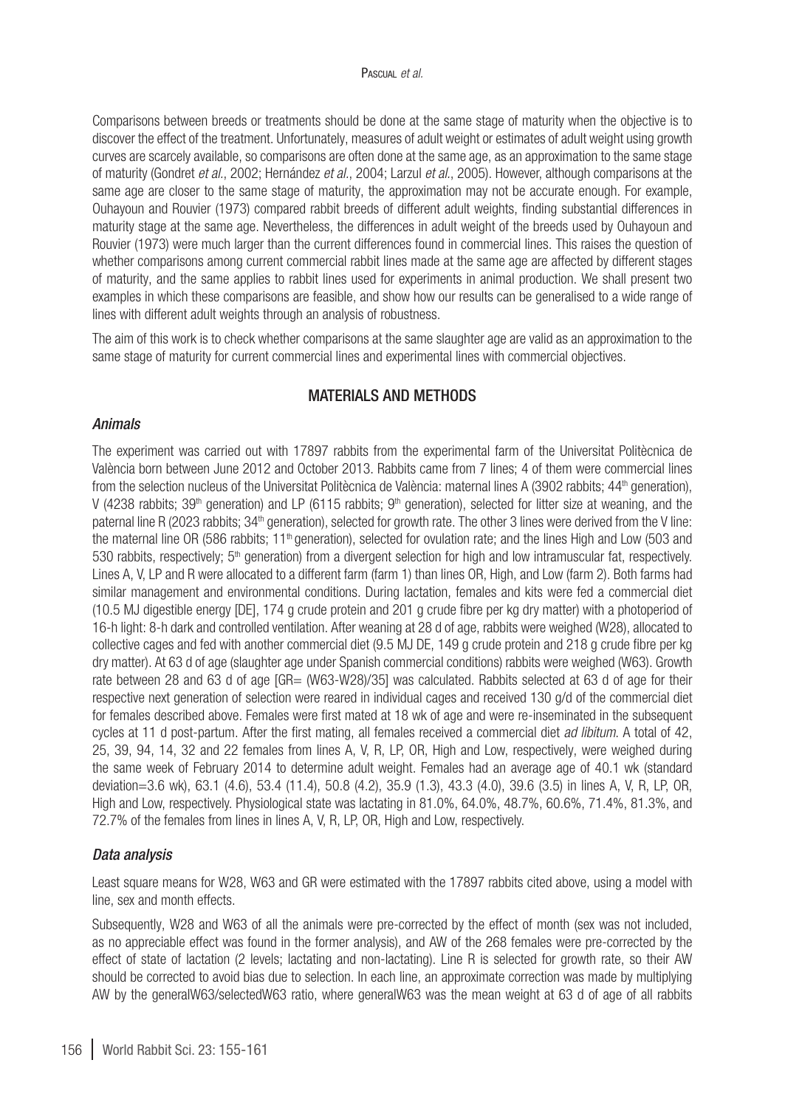Comparisons between breeds or treatments should be done at the same stage of maturity when the objective is to discover the effect of the treatment. Unfortunately, measures of adult weight or estimates of adult weight using growth curves are scarcely available, so comparisons are often done at the same age, as an approximation to the same stage of maturity (Gondret *et al.*, 2002; Hernández *et al.*, 2004; Larzul *et al.*, 2005). However, although comparisons at the same age are closer to the same stage of maturity, the approximation may not be accurate enough. For example, Ouhayoun and Rouvier (1973) compared rabbit breeds of different adult weights, finding substantial differences in maturity stage at the same age. Nevertheless, the differences in adult weight of the breeds used by Ouhayoun and Rouvier (1973) were much larger than the current differences found in commercial lines. This raises the question of whether comparisons among current commercial rabbit lines made at the same age are affected by different stages of maturity, and the same applies to rabbit lines used for experiments in animal production. We shall present two examples in which these comparisons are feasible, and show how our results can be generalised to a wide range of lines with different adult weights through an analysis of robustness.

The aim of this work is to check whether comparisons at the same slaughter age are valid as an approximation to the same stage of maturity for current commercial lines and experimental lines with commercial objectives.

### MATERIALS AND METHODS

#### *Animals*

The experiment was carried out with 17897 rabbits from the experimental farm of the Universitat Politècnica de València born between June 2012 and October 2013. Rabbits came from 7 lines; 4 of them were commercial lines from the selection nucleus of the Universitat Politècnica de València: maternal lines A (3902 rabbits; 44<sup>th</sup> generation), V (4238 rabbits; 39<sup>th</sup> generation) and LP (6115 rabbits; 9<sup>th</sup> generation), selected for litter size at weaning, and the paternal line R (2023 rabbits; 34<sup>th</sup> generation), selected for growth rate. The other 3 lines were derived from the V line: the maternal line OR (586 rabbits; 11<sup>th</sup> generation), selected for ovulation rate; and the lines High and Low (503 and 530 rabbits, respectively; 5<sup>th</sup> generation) from a divergent selection for high and low intramuscular fat, respectively. Lines A, V, LP and R were allocated to a different farm (farm 1) than lines OR, High, and Low (farm 2). Both farms had similar management and environmental conditions. During lactation, females and kits were fed a commercial diet (10.5 MJ digestible energy [DE], 174 g crude protein and 201 g crude fibre per kg dry matter) with a photoperiod of 16-h light: 8-h dark and controlled ventilation. After weaning at 28 d of age, rabbits were weighed (W28), allocated to collective cages and fed with another commercial diet (9.5 MJ DE, 149 g crude protein and 218 g crude fibre per kg dry matter). At 63 d of age (slaughter age under Spanish commercial conditions) rabbits were weighed (W63). Growth rate between 28 and 63 d of age [GR= (W63-W28)/35] was calculated. Rabbits selected at 63 d of age for their respective next generation of selection were reared in individual cages and received 130 g/d of the commercial diet for females described above. Females were first mated at 18 wk of age and were re-inseminated in the subsequent cycles at 11 d post-partum. After the first mating, all females received a commercial diet *ad libitum*. A total of 42, 25, 39, 94, 14, 32 and 22 females from lines A, V, R, LP, OR, High and Low, respectively, were weighed during the same week of February 2014 to determine adult weight. Females had an average age of 40.1 wk (standard deviation=3.6 wk), 63.1 (4.6), 53.4 (11.4), 50.8 (4.2), 35.9 (1.3), 43.3 (4.0), 39.6 (3.5) in lines A, V, R, LP, OR, High and Low, respectively. Physiological state was lactating in 81.0%, 64.0%, 48.7%, 60.6%, 71.4%, 81.3%, and 72.7% of the females from lines in lines A, V, R, LP, OR, High and Low, respectively.

## *Data analysis*

Least square means for W28, W63 and GR were estimated with the 17897 rabbits cited above, using a model with line, sex and month effects.

Subsequently, W28 and W63 of all the animals were pre-corrected by the effect of month (sex was not included, as no appreciable effect was found in the former analysis), and AW of the 268 females were pre-corrected by the effect of state of lactation (2 levels; lactating and non-lactating). Line R is selected for growth rate, so their AW should be corrected to avoid bias due to selection. In each line, an approximate correction was made by multiplying AW by the generalW63/selectedW63 ratio, where generalW63 was the mean weight at 63 d of age of all rabbits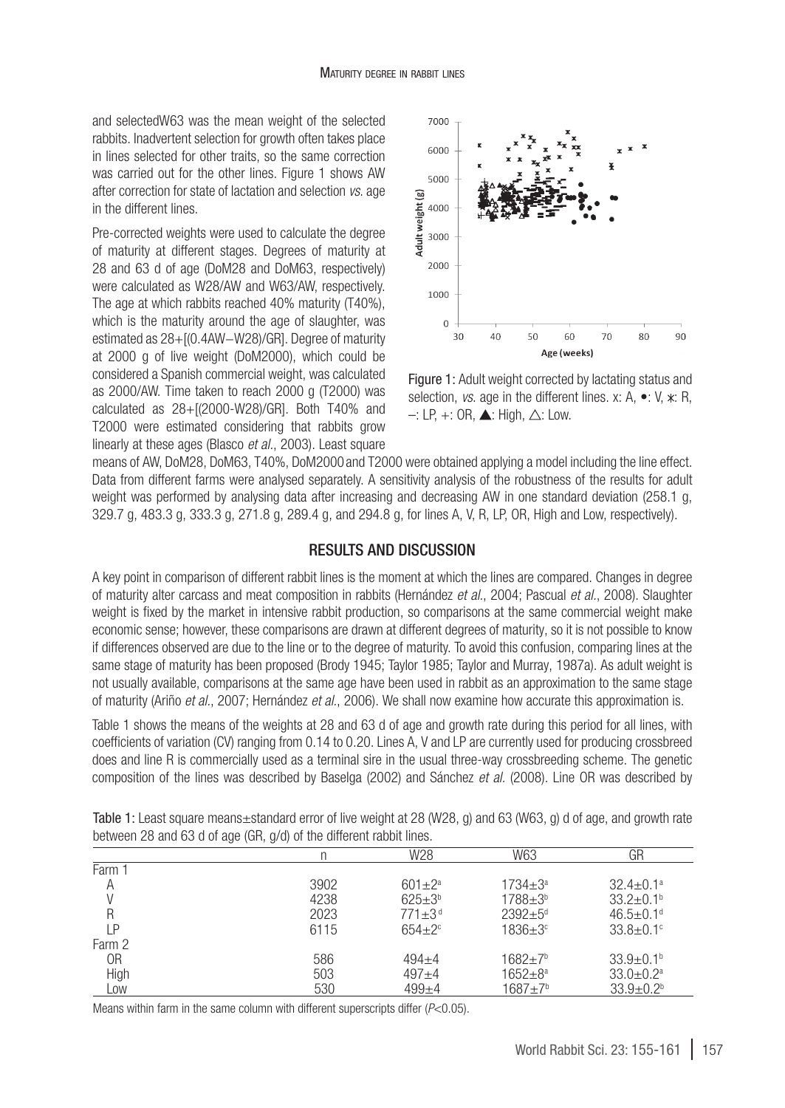and selectedW63 was the mean weight of the selected rabbits. Inadvertent selection for growth often takes place in lines selected for other traits, so the same correction was carried out for the other lines. Figure 1 shows AW after correction for state of lactation and selection *vs*. age in the different lines.

Pre-corrected weights were used to calculate the degree of maturity at different stages. Degrees of maturity at 28 and 63 d of age (DoM28 and DoM63, respectively) were calculated as W28/AW and W63/AW, respectively. The age at which rabbits reached 40% maturity (T40%), which is the maturity around the age of slaughter, was estimated as 28+[(0.4AW−W28)/GR]. Degree of maturity at 2000 g of live weight (DoM2000), which could be considered a Spanish commercial weight, was calculated as 2000/AW. Time taken to reach 2000 g (T2000) was calculated as 28+[(2000-W28)/GR]. Both T40% and T2000 were estimated considering that rabbits grow linearly at these ages (Blasco *et al.*, 2003). Least square



Figure 1: Adult weight corrected by lactating status and selection, *vs.* age in the different lines. x: A,  $\bullet$ : V,  $\ast$ : R,  $-$ : LP,  $+$ : OR,  $\blacktriangle$ : High,  $\triangle$ : Low.

means of AW, DoM28, DoM63, T40%, DoM2000and T2000 were obtained applying a model including the line effect. Data from different farms were analysed separately. A sensitivity analysis of the robustness of the results for adult weight was performed by analysing data after increasing and decreasing AW in one standard deviation (258.1 g, 329.7 g, 483.3 g, 333.3 g, 271.8 g, 289.4 g, and 294.8 g, for lines A, V, R, LP, OR, High and Low, respectively).

### RESULTS AND DISCUSSION

A key point in comparison of different rabbit lines is the moment at which the lines are compared. Changes in degree of maturity alter carcass and meat composition in rabbits (Hernández *et al.*, 2004; Pascual *et al.*, 2008). Slaughter weight is fixed by the market in intensive rabbit production, so comparisons at the same commercial weight make economic sense; however, these comparisons are drawn at different degrees of maturity, so it is not possible to know if differences observed are due to the line or to the degree of maturity. To avoid this confusion, comparing lines at the same stage of maturity has been proposed (Brody 1945; Taylor 1985; Taylor and Murray, 1987a). As adult weight is not usually available, comparisons at the same age have been used in rabbit as an approximation to the same stage of maturity (Ariño *et al.*, 2007; Hernández *et al.*, 2006). We shall now examine how accurate this approximation is.

Table 1 shows the means of the weights at 28 and 63 d of age and growth rate during this period for all lines, with coefficients of variation (CV) ranging from 0.14 to 0.20. Lines A, V and LP are currently used for producing crossbreed does and line R is commercially used as a terminal sire in the usual three-way crossbreeding scheme. The genetic composition of the lines was described by Baselga (2002) and Sánchez *et al.* (2008). Line OR was described by

|        |      | W28                    | W63                | GR                          |
|--------|------|------------------------|--------------------|-----------------------------|
| Farm 1 |      |                        |                    |                             |
| Α      | 3902 | $601 + 2^a$            | $1734 + 3^a$       | $32.4 + 0.1a$               |
| V      | 4238 | $625+3^{b}$            | $1788 + 3^b$       | $33.2 \pm 0.1$ <sup>b</sup> |
| R      | 2023 | $771 + 3$ <sup>d</sup> | $2392 + 5^d$       | $46.5 + 0.1$ <sup>d</sup>   |
| ΙP     | 6115 | $654+2°$               | $1836 + 3^{\circ}$ | $33.8 \pm 0.1$ <sup>c</sup> |
| Farm 2 |      |                        |                    |                             |
| 0R     | 586  | $494 + 4$              | $1682 + 7b$        | $33.9 + 0.1b$               |
| High   | 503  | $497 + 4$              | $1652 + 8^a$       | $33.0 + 0.2^a$              |
| LOW    | 530  | $499 + 4$              | $1687 + 7b$        | $33.9 + 0.2b$               |

Table 1: Least square means±standard error of live weight at 28 (W28, g) and 63 (W63, g) d of age, and growth rate between 28 and 63 d of age (GR, g/d) of the different rabbit lines.

Means within farm in the same column with different superscripts differ (*P*<0.05).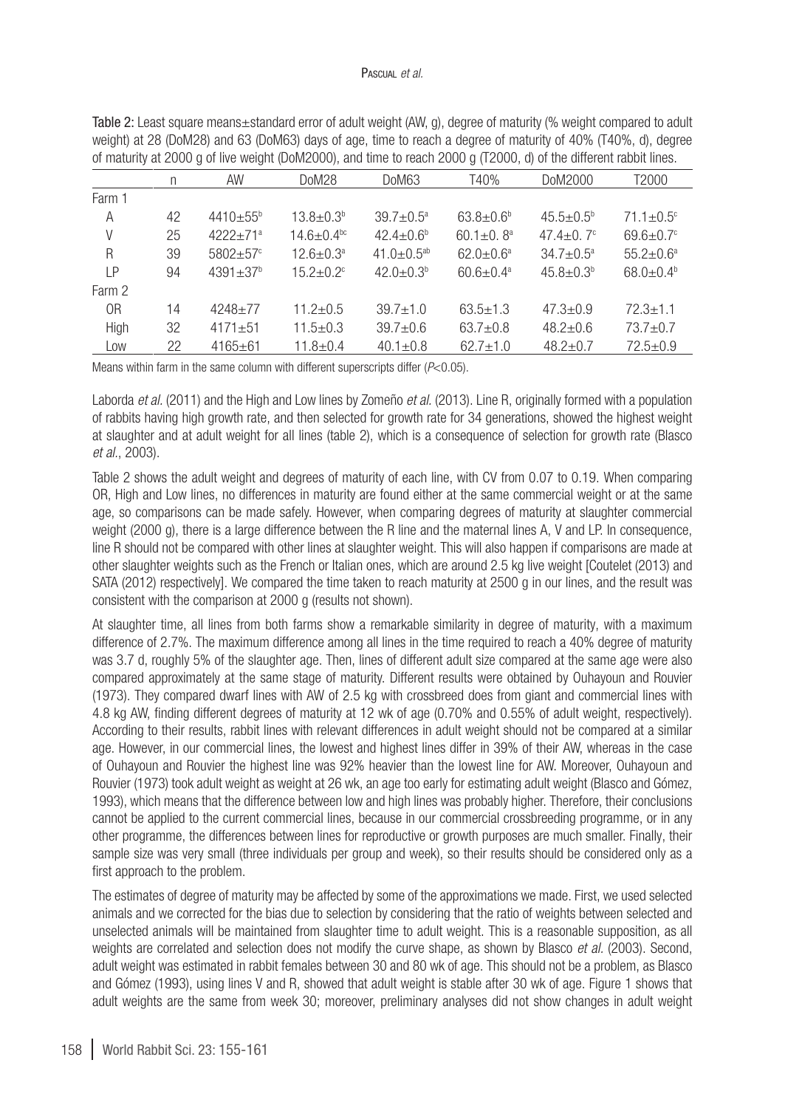#### Pascual *et al.*

| of maturity at 2000 g of live weight (DoM2000), and time to reach 2000 g (12000, d) of the different rabbit lines. |    |                            |                              |                              |                             |                         |                             |
|--------------------------------------------------------------------------------------------------------------------|----|----------------------------|------------------------------|------------------------------|-----------------------------|-------------------------|-----------------------------|
|                                                                                                                    | n  | AW                         | DoM28                        | DoM63                        | T40%                        | DoM2000                 | T2000                       |
| Farm 1                                                                                                             |    |                            |                              |                              |                             |                         |                             |
| A                                                                                                                  | 42 | $4410 + 55$ <sup>b</sup>   | $13.8 \pm 0.3b$              | $39.7 + 0.5^a$               | $63.8 + 0.6^{\circ}$        | $45.5 + 0.5^{\circ}$    | $71.1 \pm 0.5$ <sup>c</sup> |
| V                                                                                                                  | 25 | $4222+71^a$                | $14.6 \pm 0.4$ <sup>bc</sup> | $42.4 + 0.6b$                | $60.1 \pm 0.8$ <sup>a</sup> | 47.4 $\pm$ 0.7 $\rm{c}$ | $69.6 \pm 0.7$ °            |
| R                                                                                                                  | 39 | $5802 + 57$ °              | $12.6 \pm 0.3$ <sup>a</sup>  | 41.0 $\pm$ 0.5 <sup>ab</sup> | $62.0 + 0.6^a$              | $34.7 + 0.5^a$          | $55.2 + 0.6^a$              |
| l P                                                                                                                | 94 | $4391 \pm 37$ <sup>b</sup> | $15.2 + 0.2$ <sup>c</sup>    | $42.0 + 0.3b$                | $60.6 \pm 0.4$ <sup>a</sup> | $45.8 \pm 0.3^{\circ}$  | $68.0 + 0.4b$               |
| Farm 2                                                                                                             |    |                            |                              |                              |                             |                         |                             |
| 0 <sub>R</sub>                                                                                                     | 14 | $4248 + 77$                | $11.2 + 0.5$                 | $39.7 + 1.0$                 | $63.5 + 1.3$                | $47.3 \pm 0.9$          | $72.3 + 1.1$                |
| High                                                                                                               | 32 | $4171 + 51$                | $11.5 \pm 0.3$               | $39.7 + 0.6$                 | $63.7 + 0.8$                | $48.2 + 0.6$            | $73.7 + 0.7$                |
| Low                                                                                                                | 22 | $4165 + 61$                | $11.8 + 0.4$                 | $40.1 \pm 0.8$               | $62.7 \pm 1.0$              | $48.2 \pm 0.7$          | $72.5 + 0.9$                |

Table 2: Least square means±standard error of adult weight (AW, g), degree of maturity (% weight compared to adult weight) at 28 (DoM28) and 63 (DoM63) days of age, time to reach a degree of maturity of 40% (T40%, d), degree of maturity at 2000 g of live weight (DoM2000), and time to reach 2000 g (T2000, d) of the different rabbit lines.

Means within farm in the same column with different superscripts differ (*P*<0.05).

Laborda *et al.* (2011) and the High and Low lines by Zomeño *et al.* (2013). Line R, originally formed with a population of rabbits having high growth rate, and then selected for growth rate for 34 generations, showed the highest weight at slaughter and at adult weight for all lines (table 2), which is a consequence of selection for growth rate (Blasco *et al.*, 2003).

Table 2 shows the adult weight and degrees of maturity of each line, with CV from 0.07 to 0.19. When comparing OR, High and Low lines, no differences in maturity are found either at the same commercial weight or at the same age, so comparisons can be made safely. However, when comparing degrees of maturity at slaughter commercial weight (2000 g), there is a large difference between the R line and the maternal lines A, V and LP. In consequence, line R should not be compared with other lines at slaughter weight. This will also happen if comparisons are made at other slaughter weights such as the French or Italian ones, which are around 2.5 kg live weight [Coutelet (2013) and SATA (2012) respectively). We compared the time taken to reach maturity at 2500 g in our lines, and the result was consistent with the comparison at 2000 g (results not shown).

At slaughter time, all lines from both farms show a remarkable similarity in degree of maturity, with a maximum difference of 2.7%. The maximum difference among all lines in the time required to reach a 40% degree of maturity was 3.7 d, roughly 5% of the slaughter age. Then, lines of different adult size compared at the same age were also compared approximately at the same stage of maturity. Different results were obtained by Ouhayoun and Rouvier (1973). They compared dwarf lines with AW of 2.5 kg with crossbreed does from giant and commercial lines with 4.8 kg AW, finding different degrees of maturity at 12 wk of age (0.70% and 0.55% of adult weight, respectively). According to their results, rabbit lines with relevant differences in adult weight should not be compared at a similar age. However, in our commercial lines, the lowest and highest lines differ in 39% of their AW, whereas in the case of Ouhayoun and Rouvier the highest line was 92% heavier than the lowest line for AW. Moreover, Ouhayoun and Rouvier (1973) took adult weight as weight at 26 wk, an age too early for estimating adult weight (Blasco and Gómez, 1993), which means that the difference between low and high lines was probably higher. Therefore, their conclusions cannot be applied to the current commercial lines, because in our commercial crossbreeding programme, or in any other programme, the differences between lines for reproductive or growth purposes are much smaller. Finally, their sample size was very small (three individuals per group and week), so their results should be considered only as a first approach to the problem.

The estimates of degree of maturity may be affected by some of the approximations we made. First, we used selected animals and we corrected for the bias due to selection by considering that the ratio of weights between selected and unselected animals will be maintained from slaughter time to adult weight. This is a reasonable supposition, as all weights are correlated and selection does not modify the curve shape, as shown by Blasco *et al.* (2003). Second, adult weight was estimated in rabbit females between 30 and 80 wk of age. This should not be a problem, as Blasco and Gómez (1993), using lines V and R, showed that adult weight is stable after 30 wk of age. Figure 1 shows that adult weights are the same from week 30; moreover, preliminary analyses did not show changes in adult weight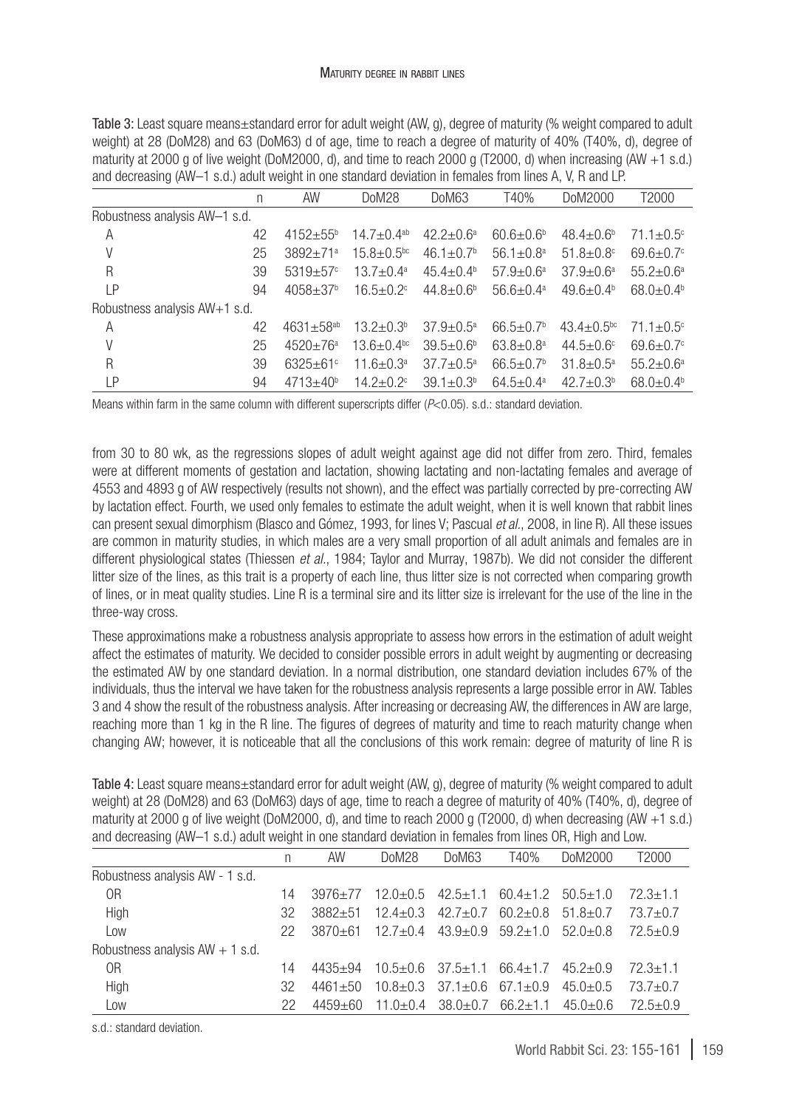Table 3: Least square means±standard error for adult weight (AW, g), degree of maturity (% weight compared to adult weight) at 28 (DoM28) and 63 (DoM63) d of age, time to reach a degree of maturity of 40% (T40%, d), degree of maturity at 2000 g of live weight (DoM2000, d), and time to reach 2000 g (T2000, d) when increasing (AW +1 s.d.) and decreasing (AW–1 s.d.) adult weight in one standard deviation in females from lines A, V, R and LP.

|                               | n  | AW                       | DoM28                        | DoM63                       | T40%                        | DoM2000                     | T2000                       |  |
|-------------------------------|----|--------------------------|------------------------------|-----------------------------|-----------------------------|-----------------------------|-----------------------------|--|
| Robustness analysis AW-1 s.d. |    |                          |                              |                             |                             |                             |                             |  |
| A                             | 42 | $4152 + 55^{b}$          | $14.7 + 0.4$ <sup>ab</sup>   | $42.2 + 0.6^a$              | $60.6 + 0.6b$               | $48.4 \pm 0.6^b$            | $71.1 \pm 0.5$ <sup>c</sup> |  |
| V                             | 25 | $3892 + 71a$             | $15.8 \pm 0.5$ <sup>bc</sup> | $46.1 \pm 0.7$ <sup>b</sup> | $56.1 \pm 0.8$ <sup>a</sup> | $51.8 \pm 0.8$ <sup>c</sup> | $69.6 \pm 0.7$ <sup>c</sup> |  |
| $\mathsf{R}$                  | 39 | $5319 + 57$ <sup>c</sup> | $13.7 \pm 0.4^{\circ}$       | $45.4 \pm 0.4^{\circ}$      | $57.9 + 0.6^a$              | $37.9 + 0.6^a$              | $55.2 + 0.6^a$              |  |
| LP                            | 94 | $4058 + 37$ <sup>b</sup> | $16.5 \pm 0.2$ <sup>c</sup>  | $44.8 \pm 0.6^b$            | $56.6 + 0.4^a$              | $49.6 \pm 0.4^{\circ}$      | $68.0 + 0.4b$               |  |
| Robustness analysis AW+1 s.d. |    |                          |                              |                             |                             |                             |                             |  |
| A                             | 42 | $4631 + 58^{ab}$         | $13.2 + 0.3b$                | $37.9 + 0.5^a$              | $66.5 \pm 0.7$ <sup>b</sup> | $43.4 + 0.5$ <sup>bc</sup>  | $71.1 \pm 0.5$ <sup>c</sup> |  |
| V                             | 25 | $4520+76a$               | $13.6 + 0.4$ <sup>bc</sup>   | $39.5 \pm 0.6^{\circ}$      | $63.8 + 0.8^{\circ}$        | $44.5 + 0.6$ °              | $69.6 \pm 0.7$ <sup>c</sup> |  |
| R                             | 39 | $6325 + 61$ °            | $11.6 \pm 0.3^a$             | $37.7 + 0.5^a$              | $66.5 \pm 0.7$ <sup>b</sup> | $31.8 \pm 0.5^{\circ}$      | $55.2 + 0.6^a$              |  |
| LP                            | 94 | $4713 + 40^{b}$          | $14.2 + 0.2$ <sup>c</sup>    | $39.1 \pm 0.3^{\circ}$      | $64.5 + 0.4^a$              | $42.7 + 0.3b$               | $68.0 \pm 0.4^{\circ}$      |  |

Means within farm in the same column with different superscripts differ (*P*<0.05). s.d.: standard deviation.

from 30 to 80 wk, as the regressions slopes of adult weight against age did not differ from zero. Third, females were at different moments of gestation and lactation, showing lactating and non-lactating females and average of 4553 and 4893 g of AW respectively (results not shown), and the effect was partially corrected by pre-correcting AW by lactation effect. Fourth, we used only females to estimate the adult weight, when it is well known that rabbit lines can present sexual dimorphism (Blasco and Gómez, 1993, for lines V; Pascual *et al.*, 2008, in line R). All these issues are common in maturity studies, in which males are a very small proportion of all adult animals and females are in different physiological states (Thiessen *et al.*, 1984; Taylor and Murray, 1987b). We did not consider the different litter size of the lines, as this trait is a property of each line, thus litter size is not corrected when comparing growth of lines, or in meat quality studies. Line R is a terminal sire and its litter size is irrelevant for the use of the line in the three-way cross.

These approximations make a robustness analysis appropriate to assess how errors in the estimation of adult weight affect the estimates of maturity. We decided to consider possible errors in adult weight by augmenting or decreasing the estimated AW by one standard deviation. In a normal distribution, one standard deviation includes 67% of the individuals, thus the interval we have taken for the robustness analysis represents a large possible error in AW. Tables 3 and 4 show the result of the robustness analysis. After increasing or decreasing AW, the differences in AW are large, reaching more than 1 kg in the R line. The figures of degrees of maturity and time to reach maturity change when changing AW; however, it is noticeable that all the conclusions of this work remain: degree of maturity of line R is

Table 4: Least square means±standard error for adult weight (AW, g), degree of maturity (% weight compared to adult weight) at 28 (DoM28) and 63 (DoM63) days of age, time to reach a degree of maturity of 40% (T40%, d), degree of maturity at 2000 g of live weight (DoM2000, d), and time to reach 2000 g (T2000, d) when decreasing (AW +1 s.d.) and decreasing (AW–1 s.d.) adult weight in one standard deviation in females from lines OR. High and Low.

|                                   | n  | AW          | DoM28        | DoM63                            | T40%                                        | DoM2000      | T2000          |
|-----------------------------------|----|-------------|--------------|----------------------------------|---------------------------------------------|--------------|----------------|
| Robustness analysis AW - 1 s.d.   |    |             |              |                                  |                                             |              |                |
| 0R                                | 14 | $3976 + 77$ |              |                                  | $12.0+0.5$ $42.5+1.1$ $60.4+1.2$ $50.5+1.0$ |              | $72.3 + 1.1$   |
| High                              | 32 | $3882 + 51$ | $12.4 + 0.3$ | $42.7 + 0.7$                     | $60.2 + 0.8$ $51.8 + 0.7$                   |              | $73.7 \pm 0.7$ |
| Low                               | 22 | 3870+61     |              |                                  | $12.7+0.4$ $43.9+0.9$ $59.2+1.0$ $52.0+0.8$ |              | $72.5 + 0.9$   |
| Robustness analysis $AW + 1$ s.d. |    |             |              |                                  |                                             |              |                |
| 0R                                | 14 | $4435 + 94$ |              | $10.5+0.6$ $37.5+1.1$ $66.4+1.7$ |                                             | $45.2 + 0.9$ | $72.3 + 1.1$   |
| High                              | 32 | $4461 + 50$ | $10.8 + 0.3$ | $37.1+0.6$ 67.1+0.9              |                                             | $45.0 + 0.5$ | $73.7 \pm 0.7$ |
| Low                               | 22 | $4459 + 60$ |              | $11.0+0.4$ $38.0+0.7$            | 66.2±1.1                                    | 45.0±0.6     | $72.5 + 0.9$   |

s.d.: standard deviation.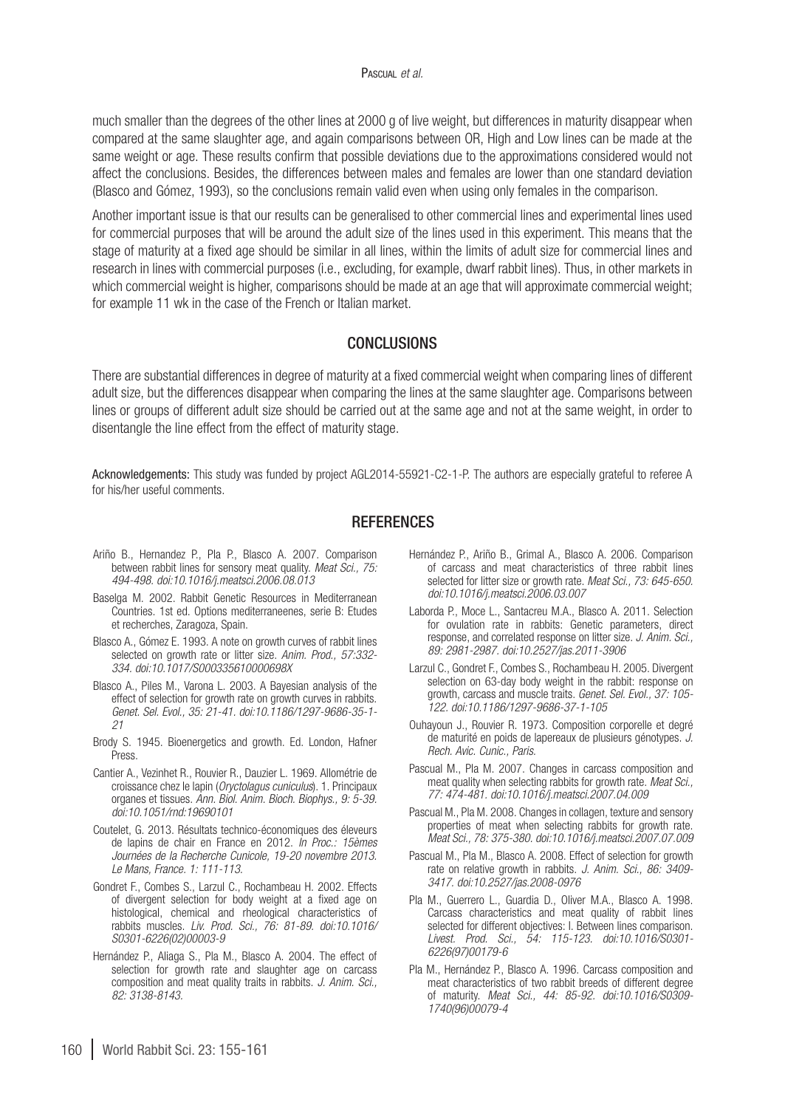much smaller than the degrees of the other lines at 2000 g of live weight, but differences in maturity disappear when compared at the same slaughter age, and again comparisons between OR, High and Low lines can be made at the same weight or age. These results confirm that possible deviations due to the approximations considered would not affect the conclusions. Besides, the differences between males and females are lower than one standard deviation (Blasco and Gómez, 1993), so the conclusions remain valid even when using only females in the comparison.

Another important issue is that our results can be generalised to other commercial lines and experimental lines used for commercial purposes that will be around the adult size of the lines used in this experiment. This means that the stage of maturity at a fixed age should be similar in all lines, within the limits of adult size for commercial lines and research in lines with commercial purposes (i.e., excluding, for example, dwarf rabbit lines). Thus, in other markets in which commercial weight is higher, comparisons should be made at an age that will approximate commercial weight; for example 11 wk in the case of the French or Italian market.

## CONCLUSIONS

There are substantial differences in degree of maturity at a fixed commercial weight when comparing lines of different adult size, but the differences disappear when comparing the lines at the same slaughter age. Comparisons between lines or groups of different adult size should be carried out at the same age and not at the same weight, in order to disentangle the line effect from the effect of maturity stage.

Acknowledgements: This study was funded by project AGL2014-55921-C2-1-P. The authors are especially grateful to referee A for his/her useful comments.

#### **REFERENCES**

- Ariño B., Hernandez P., Pla P., Blasco A. 2007. Comparison between rabbit lines for sensory meat quality. *Meat Sci., 75: 494-498. [doi:10.1016/j.meatsci.2006.08.013](http://dx.doi.org/10.1016/j.meatsci.2006.08.013)*
- Baselga M. 2002. Rabbit Genetic Resources in Mediterranean Countries. 1st ed. Options mediterraneenes, serie B: Etudes et recherches, Zaragoza, Spain.
- Blasco A., Gómez E. 1993. A note on growth curves of rabbit lines selected on growth rate or litter size. *Anim. Prod., 57:332- 334. [doi:10.1017/S000335610000698X](http://dx.doi.org/10.1017/S000335610000698X)*
- Blasco A., Piles M., Varona L. 2003. A Bayesian analysis of the effect of selection for growth rate on growth curves in rabbits. *Genet. Sel. Evol., 35: 21-41. [doi:10.1186/1297-9686-35-1-](http://dx.doi.org/10.1186/1297-9686-35-1-21) [21](http://dx.doi.org/10.1186/1297-9686-35-1-21)*
- Brody S. 1945. Bioenergetics and growth. Ed. London, Hafner Press.
- Cantier A., Vezinhet R., Rouvier R., Dauzier L. 1969. Allométrie de croissance chez le lapin (*Oryctolagus cuniculus*). 1. Principaux organes et tissues. *Ann. Biol. Anim. Bioch. Biophys., 9: 5-39. [doi:10.1051/rnd:19690101](http://dx.doi.org/10.1051/rnd:19690101)*
- Coutelet, G. 2013. Résultats technico-économiques des éleveurs de lapins de chair en France en 2012. *In Proc.: 15èmes Journées de la Recherche Cunicole, 19-20 novembre 2013. Le Mans, France. 1: 111-113.*
- Gondret F., Combes S., Larzul C., Rochambeau H. 2002. Effects of divergent selection for body weight at a fixed age on histological, chemical and rheological characteristics of rabbits muscles. *Liv. Prod. Sci., 76: 81-89. [doi:10.1016/](http://dx.doi.org/10.1016/S0301-6226(02)00003-9) [S0301-6226\(02\)00003-9](http://dx.doi.org/10.1016/S0301-6226(02)00003-9)*
- Hernández P., Aliaga S., Pla M., Blasco A. 2004. The effect of selection for growth rate and slaughter age on carcass composition and meat quality traits in rabbits. *J. Anim. Sci., 82: 3138-8143.*
- Hernández P., Ariño B., Grimal A., Blasco A. 2006. Comparison of carcass and meat characteristics of three rabbit lines selected for litter size or growth rate. *Meat Sci., 73: 645-650. [doi:10.1016/j.meatsci.2006.03.007](http://dx.doi.org/10.1016/j.meatsci.2006.03.007)*
- Laborda P., Moce L., Santacreu M.A., Blasco A. 2011. Selection for ovulation rate in rabbits: Genetic parameters, direct response, and correlated response on litter size. *J. Anim. Sci., 89: 2981-2987. [doi:10.2527/jas.2011-3906](http://dx.doi.org/10.2527/jas.2011-3906)*
- Larzul C., Gondret F., Combes S., Rochambeau H. 2005. Divergent selection on 63-day body weight in the rabbit: response on growth, carcass and muscle traits. *Genet. Sel. Evol., 37: 105- 122. [doi:10.1186/1297-9686-37-1-105](http://dx.doi.org/10.1186/1297-9686-37-1-105)*
- Ouhayoun J., Rouvier R. 1973. Composition corporelle et degré de maturité en poids de lapereaux de plusieurs génotypes. *J. Rech. Avic. Cunic., Paris.*
- Pascual M., Pla M. 2007. Changes in carcass composition and meat quality when selecting rabbits for growth rate. *Meat Sci., 77: 474-481. [doi:10.1016/j.meatsci.2007.04.009](http://dx.doi.org/10.1016/j.meatsci.2007.04.009)*
- Pascual M., Pla M. 2008. Changes in collagen, texture and sensory properties of meat when selecting rabbits for growth rate. *Meat Sci., 78: 375-380. [doi:10.1016/j.meatsci.2007.07.009](http://dx.doi.org/10.1016/j.meatsci.2007.07.009)*
- Pascual M., Pla M., Blasco A. 2008. Effect of selection for growth rate on relative growth in rabbits. *J. Anim. Sci., 86: 3409- 3417. [doi:10.2527/jas.2008-0976](http://dx.doi.org/10.2527/jas.2008-0976)*
- Pla M., Guerrero L., Guardia D., Oliver M.A., Blasco A. 1998. Carcass characteristics and meat quality of rabbit lines selected for different objectives: I. Between lines comparison. *Livest. Prod. Sci., 54: 115-123. [doi:10.1016/S0301-](http://dx.doi.org/10.1016/S0301-6226(97)00179-6) [6226\(97\)00179-6](http://dx.doi.org/10.1016/S0301-6226(97)00179-6)*
- Pla M., Hernández P., Blasco A. 1996. Carcass composition and meat characteristics of two rabbit breeds of different degree of maturity. *Meat Sci., 44: 85-92. [doi:10.1016/S0309-](http://dx.doi.org/10.1016/S0309-1740(96)00079-4) [1740\(96\)00079-4](http://dx.doi.org/10.1016/S0309-1740(96)00079-4)*